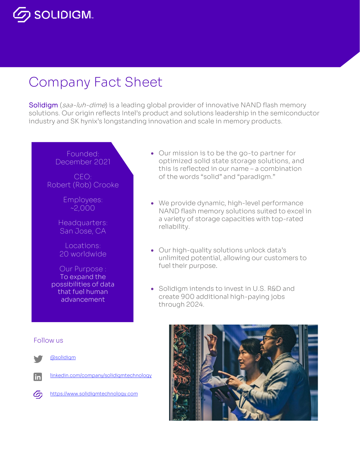

# Company Fact Sheet

Solidigm (saa-luh-dime) is a leading global provider of innovative NAND flash memory solutions. Our origin reflects Intel's product and solutions leadership in the semiconductor industry and SK hynix's longstanding innovation and scale in memory products.

## Founded: December 2021

CEO: Robert (Rob) Crooke

> Employees: ~2,000

Headquarters: San Jose, CA

Locations: 20 worldwide

Our Purpose : To expand the possibilities of data that fuel human advancement

- Our mission is to be the go-to partner for optimized solid state storage solutions, and this is reflected in our name – a combination of the words "solid" and "paradigm."
- We provide dynamic, high-level performance NAND flash memory solutions suited to excel in a variety of storage capacities with top-rated reliability.
- Our high-quality solutions unlock data's unlimited potential, allowing our customers to fuel their purpose.
- Solidigm intends to invest in U.S. R&D and create 900 additional high-paying jobs through 2024.